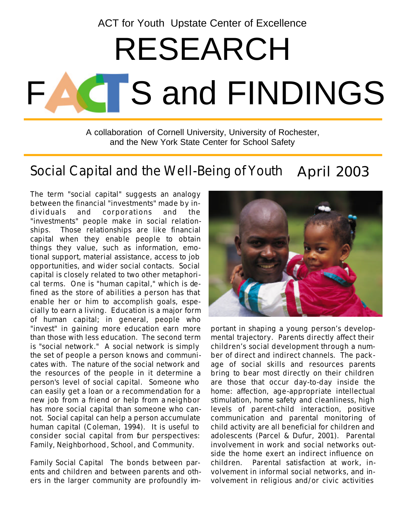ACT for Youth Upstate Center of Excellence

# **CT**S and FINDINGS RESEARCH

A collaboration of Cornell University, University of Rochester, and the New York State Center for School Safety

#### April 2003 Social Capital and the Well-Being of Youth

The term "social capital" suggests an analogy between the financial "investments" made by individuals and corporations and the "investments" people make in social relationships. Those relationships are like financial capital when they enable people to obtain things they value, such as information, emotional support, material assistance, access to job opportunities, and wider social contacts. Social capital is closely related to two other metaphorical terms. One is "human capital," which is defined as the store of abilities a person has that enable her or him to accomplish goals, especially to earn a living. Education is a major form of human capital; in general, people who "invest" in gaining more education earn more than those with less education. The second term is "social network." A social network is simply the set of people a person knows and communicates with. The nature of the social network and the resources of the people in it determine a person's level of social capital. Someone who can easily get a loan or a recommendation for a new job from a friend or help from a neighbor has more social capital than someone who cannot. Social capital can help a person accumulate human capital (Coleman, 1994). It is useful to consider social capital from four perspectives: *Family, Neighborhood*, *School*, and *Community.* 

*Family Social Capital* The bonds between parents and children and between parents and others in the larger community are profoundly im-



portant in shaping a young person's developmental trajectory. Parents directly affect their children's social development through a number of direct and indirect channels. The package of social skills and resources parents bring to bear most directly on their children are those that occur day-to-day inside the home: affection, age-appropriate intellectual stimulation, home safety and cleanliness, high levels of parent-child interaction, positive communication and parental monitoring of child activity are all beneficial for children and adolescents (Parcel & Dufur, 2001). Parental involvement in work and social networks outside the home exert an indirect influence on children. Parental satisfaction at work, involvement in informal social networks, and involvement in religious and/or civic activities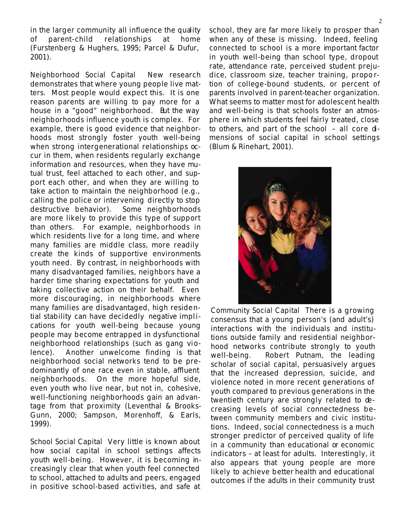in the larger community all influence the quality of parent-child relationships at home (Furstenberg & Hughers, 1995; Parcel & Dufur, 2001).

*Neighborhood Social Capital* New research demonstrates that where young people live matters. Most people would expect this. It is one reason parents are willing to pay more for a house in a "good" neighborhood. But the way neighborhoods influence youth is complex. For example, there is good evidence that neighborhoods most strongly foster youth well-being when strong intergenerational relationships occur in them, when residents regularly exchange information and resources, when they have mutual trust, feel attached to each other, and support each other, and when they are willing to take action to maintain the neighborhood (e.g., calling the police or intervening directly to stop destructive behavior). Some neighborhoods are more likely to provide this type of support than others. For example, neighborhoods in which residents live for a long time, and where many families are middle class, more readily create the kinds of supportive environments youth need. By contrast, in neighborhoods with many disadvantaged families, neighbors have a harder time sharing expectations for youth and taking collective action on their behalf. Even more discouraging, in neighborhoods where many families are disadvantaged, high residential stability can have decidedly *negative* implications for youth well-being because young people may become entrapped in dysfunctional neighborhood relationships (such as gang violence). Another unwelcome finding is that neighborhood social networks tend to be predominantly of one race even in stable, affluent neighborhoods. On the more hopeful side, even youth who live near, but not in, cohesive, well-functioning neighborhoods gain an advantage from that proximity (Leventhal & Brooks-Gunn, 2000; Sampson, Morenhoff, & Earls, 1999).

*School Social Capital* Very little is known about how social capital in school settings affects youth well-being. However, it is becoming increasingly clear that when youth feel connected to school, attached to adults and peers, engaged in positive school-based activities, and safe at school, they are far more likely to prosper than when any of these is missing. Indeed, feeling connected to school is a more important factor in youth well-being than school type, dropout rate, attendance rate, perceived student prejudice, classroom size, teacher training, proportion of college-bound students, or percent of parents involved in parent-teacher organization. What seems to matter most for adolescent health and well-being is that schools foster an atmosphere in which students feel fairly treated, close to others, and part of the school  $-$  all core dmensions of social capital in school settings (Blum & Rinehart, 2001).



*Community Social Capital* There is a growing consensus that a young person's (and adult's) interactions with the individuals and institutions outside family and residential neighborhood networks contribute strongly to youth well-being. Robert Putnam, the leading scholar of social capital, persuasively argues that the increased depression, suicide, and violence noted in more recent generations of youth compared to previous generations in the twentieth century are strongly related to decreasing levels of social connectedness between community members and civic institutions. Indeed, social connectedness is a much stronger predictor of perceived quality of life in a community than educational or economic indicators – at least for adults. Interestingly, it also appears that young people are more likely to achieve better health and educational outcomes if the *adults* in their community trust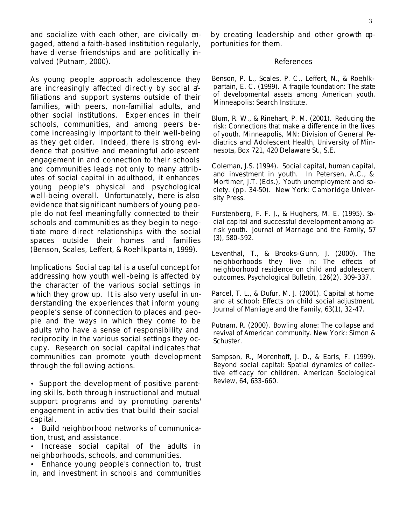and socialize with each other, are civically engaged, attend a faith-based institution regularly, have diverse friendships and are politically involved (Putnam, 2000).

As young people approach adolescence they are increasingly affected directly by social affiliations and support systems outside of their families, with peers, non-familial adults, and other social institutions. Experiences in their schools, communities, and among peers become increasingly important to their well-being as they get older. Indeed, there is strong evidence that positive and meaningful adolescent engagement in and connection to their schools and communities leads not only to many attributes of social capital in adulthood, it enhances young people's physical and psychological well-being overall. Unfortunately, there is also evidence that significant numbers of young people do not feel meaningfully connected to their schools and communities as they begin to negotiate more direct relationships with the social spaces outside their homes and families (Benson, Scales, Leffert, & Roehlkpartain, 1999).

*Implications* Social capital is a useful concept for addressing how youth well-being is affected by the character of the various social settings in which they grow up. It is also very useful in understanding the experiences that inform young people's sense of connection to places and people and the ways in which they come to be adults who have a sense of responsibility and reciprocity in the various social settings they occupy. Research on social capital indicates that communities can promote youth development through the following actions.

• Support the development of positive parenting skills, both through instructional and mutual support programs and by promoting parents' engagement in activities that build their social capital.

• Build neighborhood networks of communication, trust, and assistance.

• Increase social capital of the *adults* in neighborhoods, schools, and communities.

• Enhance young people's connection to, trust in, and investment in schools and communities

by creating leadership and other growth opportunities for them.

#### *References*

Benson, P. L., Scales, P. C., Leffert, N., & Roehlkpartain, E. C. (1999). *A fragile foundation: The state of developmental assets among American youth*. Minneapolis: Search Institute.

Blum, R. W., & Rinehart, P. M. (2001). *Reducing the risk: Connections that make a difference in the lives of youth*. Minneapolis, MN: Division of General Pediatrics and Adolescent Health, University of Minnesota, Box 721, 420 Delaware St., S.E.

Coleman, J.S. (1994). Social capital, human capital, and investment in youth. In Petersen, A.C., & Mortimer, J.T. (Eds.), *Youth unemployment and society*. (pp. 34-50). New York: Cambridge University Press.

Furstenberg, F. F. J., & Hughers, M. E. (1995). Social capital and successful development among atrisk youth. *Journal of Marriage and the Family, 57* (3), 580-592.

Leventhal, T., & Brooks-Gunn, J. (2000). The neighborhoods they live in: The effects of neighborhood residence on child and adolescent outcomes. *Psychological Bulletin, 126*(2), 309-337.

Parcel, T. L., & Dufur, M. J. (2001). Capital at home and at school: Effects on child social adjustment. *Journal of Marriage and the Family, 63*(1), 32-47.

Putnam, R. (2000). *Bowling alone: The collapse and revival of American community*. New York: Simon & Schuster.

Sampson, R., Morenhoff, J. D., & Earls, F. (1999). Beyond social capital: Spatial dynamics of collective efficacy for children. *American Sociological Review, 64*, 633-660.